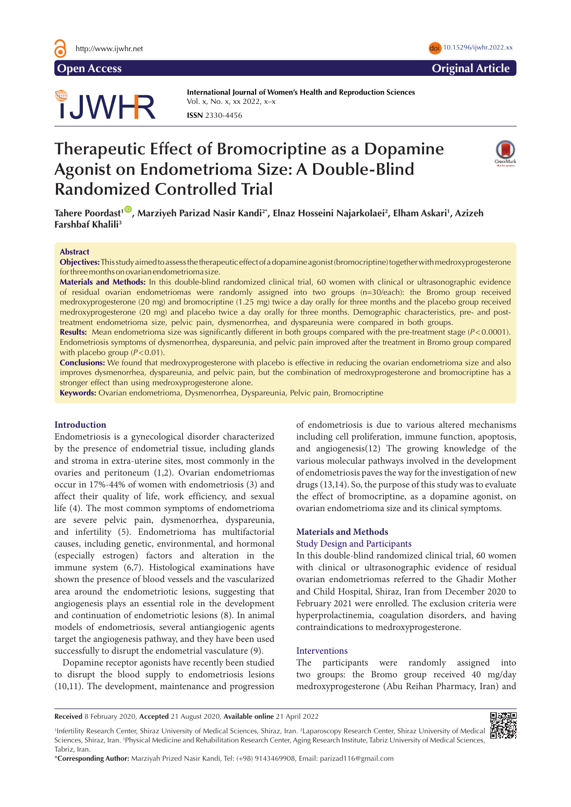# **JWHR**

**International Journal of Women's Health and Reproduction Sciences**  Vol. x, No. x, xx 2022, x–x **ISSN** 2330-4456

# **Therapeutic Effect of Bromocriptine as a Dopamine Agonist on Endometrioma Size: A Double-Blind Randomized Controlled Trial**



**Tahere Poordast1** [ID](https://orcid.org/0000-0003-0151-978X) **, Marziyeh Parizad Nasir Kandi2\*, Elnaz Hosseini Najarkolaei2 , Elham Askari1 , Azizeh Farshbaf Khalili3**

#### **Abstract**

**Objectives:**This study aimed to assess the therapeutic effect of a dopamine agonist (bromocriptine) together with medroxyprogesterone for three months on ovarian endometrioma size.

**Materials and Methods:** In this double-blind randomized clinical trial, 60 women with clinical or ultrasonographic evidence of residual ovarian endometriomas were randomly assigned into two groups (n=30/each): the Bromo group received medroxyprogesterone (20 mg) and bromocriptine (1.25 mg) twice a day orally for three months and the placebo group received medroxyprogesterone (20 mg) and placebo twice a day orally for three months. Demographic characteristics, pre- and posttreatment endometrioma size, pelvic pain, dysmenorrhea, and dyspareunia were compared in both groups.

**Results:** Mean endometrioma size was significantly different in both groups compared with the pre-treatment stage (*P*<0.0001). Endometriosis symptoms of dysmenorrhea, dyspareunia, and pelvic pain improved after the treatment in Bromo group compared with placebo group ( $P < 0.01$ ).

**Conclusions:** We found that medroxyprogesterone with placebo is effective in reducing the ovarian endometrioma size and also improves dysmenorrhea, dyspareunia, and pelvic pain, but the combination of medroxyprogesterone and bromocriptine has a stronger effect than using medroxyprogesterone alone.

**Keywords:** Ovarian endometrioma, Dysmenorrhea, Dyspareunia, Pelvic pain, Bromocriptine

# **Introduction**

Endometriosis is a gynecological disorder characterized by the presence of endometrial tissue, including glands and stroma in extra-uterine sites, most commonly in the ovaries and peritoneum (1,2). Ovarian endometriomas occur in 17%-44% of women with endometriosis (3) and affect their quality of life, work efficiency, and sexual life (4). The most common symptoms of endometrioma are severe pelvic pain, dysmenorrhea, dyspareunia, and infertility (5). Endometrioma has multifactorial causes, including genetic, environmental, and hormonal (especially estrogen) factors and alteration in the immune system (6,7). Histological examinations have shown the presence of blood vessels and the vascularized area around the endometriotic lesions, suggesting that angiogenesis plays an essential role in the development and continuation of endometriotic lesions (8). In animal models of endometriosis, several antiangiogenic agents target the angiogenesis pathway, and they have been used successfully to disrupt the endometrial vasculature (9).

Dopamine receptor agonists have recently been studied to disrupt the blood supply to endometriosis lesions (10,11). The development, maintenance and progression of endometriosis is due to various altered mechanisms including cell proliferation, immune function, apoptosis, and angiogenesis(12) The growing knowledge of the various molecular pathways involved in the development of endometriosis paves the way for the investigation of new drugs (13,14). So, the purpose of this study was to evaluate the effect of bromocriptine, as a dopamine agonist, on ovarian endometrioma size and its clinical symptoms.

#### **Materials and Methods**

#### Study Design and Participants

In this double-blind randomized clinical trial, 60 women with clinical or ultrasonographic evidence of residual ovarian endometriomas referred to the Ghadir Mother and Child Hospital, Shiraz, Iran from December 2020 to February 2021 were enrolled. The exclusion criteria were hyperprolactinemia, coagulation disorders, and having contraindications to medroxyprogesterone.

#### Interventions

The participants were randomly assigned into two groups: the Bromo group received 40 mg/day medroxyprogesterone (Abu Reihan Pharmacy, Iran) and

**Received** 8 February 2020, **Accepted** 21 August 2020, **Available online** 21 April 2022



<sup>1</sup>Infertility Research Center, Shiraz University of Medical Sciences, Shiraz, Iran. <sup>2</sup>Laparoscopy Research Center, Shiraz University of Medical Sciences, Shiraz, Iran. 3 Physical Medicine and Rehabilitation Research Center, Aging Research Institute, Tabriz University of Medical Sciences, Tabriz, Iran.

\***Corresponding Author:** Marziyah Prized Nasir Kandi, Tel: (+98) 9143469908, Email: parizad116@gmail.com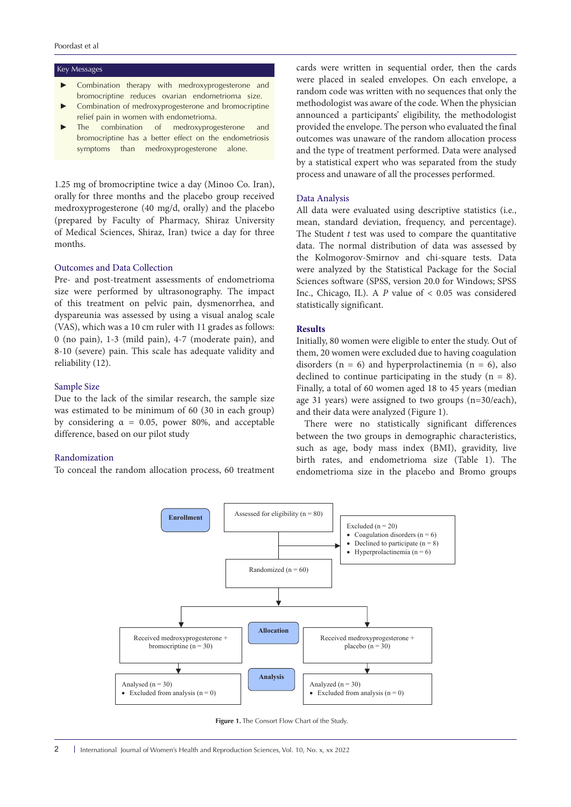#### Key Messages

- Combination therapy with medroxyprogesterone and bromocriptine reduces ovarian endometrioma size.
- Combination of medroxyprogesterone and bromocriptine relief pain in women with endometrioma.
- The combination of medroxyprogesterone and bromocriptine has a better effect on the endometriosis symptoms than medroxyprogesterone alone.

1.25 mg of bromocriptine twice a day (Minoo Co. Iran), orally for three months and the placebo group received medroxyprogesterone (40 mg/d, orally) and the placebo (prepared by Faculty of Pharmacy, Shiraz University of Medical Sciences, Shiraz, Iran) twice a day for three months.

# Outcomes and Data Collection

Pre- and post-treatment assessments of endometrioma size were performed by ultrasonography. The impact of this treatment on pelvic pain, dysmenorrhea, and dyspareunia was assessed by using a visual analog scale (VAS), which was a 10 cm ruler with 11 grades as follows: 0 (no pain), 1-3 (mild pain), 4-7 (moderate pain), and 8-10 (severe) pain. This scale has adequate validity and reliability (12).

#### Sample Size

Due to the lack of the similar research, the sample size was estimated to be minimum of 60 (30 in each group) by considering  $\alpha = 0.05$ , power 80%, and acceptable difference, based on our pilot study

#### Randomization

To conceal the random allocation process, 60 treatment

cards were written in sequential order, then the cards were placed in sealed envelopes. On each envelope, a random code was written with no sequences that only the methodologist was aware of the code. When the physician announced a participants' eligibility, the methodologist provided the envelope. The person who evaluated the final outcomes was unaware of the random allocation process and the type of treatment performed. Data were analysed by a statistical expert who was separated from the study process and unaware of all the processes performed.

#### Data Analysis

All data were evaluated using descriptive statistics (i.e., mean, standard deviation, frequency, and percentage). The Student *t* test was used to compare the quantitative data. The normal distribution of data was assessed by the Kolmogorov-Smirnov and chi-square tests. Data were analyzed by the Statistical Package for the Social Sciences software (SPSS, version 20.0 for Windows; SPSS Inc., Chicago, IL). A *P* value of < 0.05 was considered statistically significant.

#### **Results**

Initially, 80 women were eligible to enter the study. Out of them, 20 women were excluded due to having coagulation disorders ( $n = 6$ ) and hyperprolactinemia ( $n = 6$ ), also declined to continue participating in the study  $(n = 8)$ . Finally, a total of 60 women aged 18 to 45 years (median age 31 years) were assigned to two groups (n=30/each), and their data were analyzed (Figure 1).

There were no statistically significant differences between the two groups in demographic characteristics, such as age, body mass index (BMI), gravidity, live birth rates, and endometrioma size (Table 1). The endometrioma size in the placebo and Bromo groups



**Figure 1.** The Consort Flow Chart of the Study.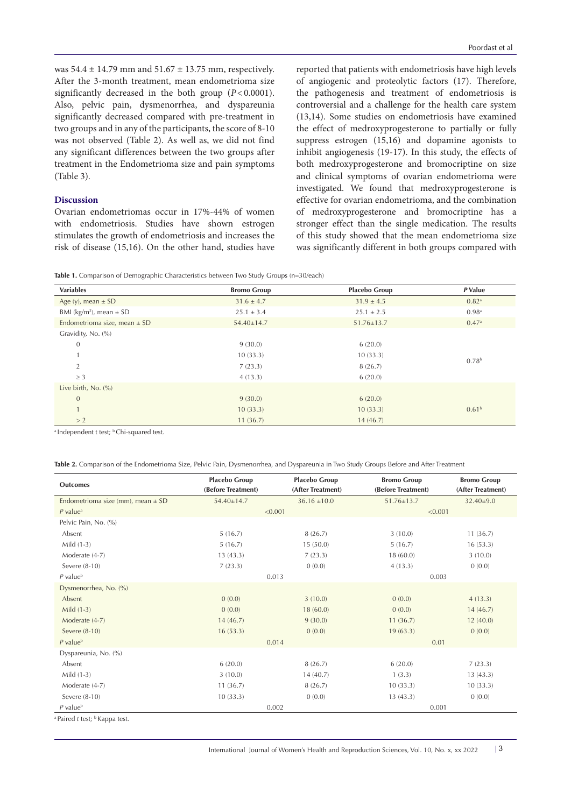was  $54.4 \pm 14.79$  mm and  $51.67 \pm 13.75$  mm, respectively. After the 3-month treatment, mean endometrioma size significantly decreased in the both group (*P*<0.0001). Also, pelvic pain, dysmenorrhea, and dyspareunia significantly decreased compared with pre-treatment in two groups and in any of the participants, the score of 8-10 was not observed (Table 2). As well as, we did not find any significant differences between the two groups after treatment in the Endometrioma size and pain symptoms (Table 3).

### **Discussion**

Ovarian endometriomas occur in 17%-44% of women with endometriosis. Studies have shown estrogen stimulates the growth of endometriosis and increases the risk of disease (15,16). On the other hand, studies have

reported that patients with endometriosis have high levels of angiogenic and proteolytic factors (17). Therefore, the pathogenesis and treatment of endometriosis is controversial and a challenge for the health care system (13,14). Some studies on endometriosis have examined the effect of medroxyprogesterone to partially or fully suppress estrogen (15,16) and dopamine agonists to inhibit angiogenesis (19-17). In this study, the effects of both medroxyprogesterone and bromocriptine on size and clinical symptoms of ovarian endometrioma were investigated. We found that medroxyprogesterone is effective for ovarian endometrioma, and the combination of medroxyprogesterone and bromocriptine has a stronger effect than the single medication. The results of this study showed that the mean endometrioma size was significantly different in both groups compared with

**Table 1.** Comparison of Demographic Characteristics between Two Study Groups (n=30/each)

| <b>Variables</b>                        | <b>Bromo Group</b> | <b>Placebo Group</b> | P Value           |  |
|-----------------------------------------|--------------------|----------------------|-------------------|--|
| Age (y), mean $\pm$ SD                  | $31.6 \pm 4.7$     | $31.9 \pm 4.5$       | 0.82 <sup>a</sup> |  |
| BMI (kg/m <sup>2</sup> ), mean $\pm$ SD | $25.1 \pm 3.4$     | $25.1 \pm 2.5$       | 0.98 <sup>a</sup> |  |
| Endometrioma size, mean $\pm$ SD        | $54.40 \pm 14.7$   | $51.76 \pm 13.7$     | 0.47a             |  |
| Gravidity, No. (%)                      |                    |                      |                   |  |
| $\theta$                                | 9(30.0)            | 6(20.0)              |                   |  |
| $\mathbf{1}$                            | 10(33.3)           | 10(33.3)             |                   |  |
| 2                                       | 7(23.3)            | 8(26.7)              | 0.78 <sup>b</sup> |  |
| $\geq$ 3                                | 4(13.3)            | 6(20.0)              |                   |  |
| Live birth, $No. (%)$                   |                    |                      |                   |  |
| $\overline{0}$                          | 9(30.0)            | 6(20.0)              |                   |  |
| $\mathbf{1}$                            | 10(33.3)           | 10(33.3)             | 0.61 <sup>b</sup> |  |
| > 2                                     | 11(36.7)           | 14(46.7)             |                   |  |

<sup>a</sup> Independent t test; <sup>b</sup> Chi-squared test.

**Table 2.** Comparison of the Endometrioma Size, Pelvic Pain, Dysmenorrhea, and Dyspareunia in Two Study Groups Before and After Treatment

| <b>Outcomes</b>                                      | <b>Placebo Group</b><br>(Before Treatment) | <b>Placebo Group</b><br>(After Treatment) | <b>Bromo Group</b><br>(Before Treatment) | <b>Bromo Group</b><br>(After Treatment) |
|------------------------------------------------------|--------------------------------------------|-------------------------------------------|------------------------------------------|-----------------------------------------|
| Endometrioma size (mm), mean $\pm$ SD                | 54.40±14.7                                 | $36.16 \pm 10.0$                          | $51.76 \pm 13.7$                         | $32.40 \pm 9.0$                         |
| $P$ value <sup>a</sup>                               | < 0.001                                    |                                           | < 0.001                                  |                                         |
| Pelvic Pain, No. (%)                                 |                                            |                                           |                                          |                                         |
| Absent                                               | 5(16.7)                                    | 8(26.7)                                   | 3(10.0)                                  | 11(36.7)                                |
| Mild $(1-3)$                                         | 5(16.7)                                    | 15(50.0)                                  | 5(16.7)                                  | 16(53.3)                                |
| Moderate (4-7)                                       | 13(43.3)                                   | 7(23.3)                                   | 18 (60.0)                                | 3(10.0)                                 |
| Severe (8-10)                                        | 7(23.3)                                    | 0(0.0)                                    | 4(13.3)                                  | 0(0.0)                                  |
| $P$ value $b$                                        | 0.013                                      |                                           | 0.003                                    |                                         |
| Dysmenorrhea, No. (%)                                |                                            |                                           |                                          |                                         |
| Absent                                               | 0(0.0)                                     | 3(10.0)                                   | 0(0.0)                                   | 4(13.3)                                 |
| Mild $(1-3)$                                         | 0(0.0)                                     | 18(60.0)                                  | 0(0.0)                                   | 14(46.7)                                |
| Moderate (4-7)                                       | 14(46.7)                                   | 9(30.0)                                   | 11(36.7)                                 | 12(40.0)                                |
| Severe (8-10)                                        | 16(53.3)                                   | 0(0.0)                                    | 19(63.3)                                 | 0(0.0)                                  |
| $P$ value $b$                                        | 0.014                                      |                                           | 0.01                                     |                                         |
| Dyspareunia, No. (%)                                 |                                            |                                           |                                          |                                         |
| Absent                                               | 6(20.0)                                    | 8(26.7)                                   | 6(20.0)                                  | 7(23.3)                                 |
| Mild $(1-3)$                                         | 3(10.0)                                    | 14(40.7)                                  | 1(3.3)                                   | 13(43.3)                                |
| Moderate (4-7)                                       | 11(36.7)                                   | 8(26.7)                                   | 10(33.3)                                 | 10(33.3)                                |
| Severe (8-10)                                        | 10(33.3)                                   | 0(0.0)                                    | 13 (43.3)                                | 0(0.0)                                  |
| $P$ value <sup>b</sup>                               |                                            | 0.002                                     | 0.001                                    |                                         |
| <sup>a</sup> Paired t test; <sup>b</sup> Kappa test. |                                            |                                           |                                          |                                         |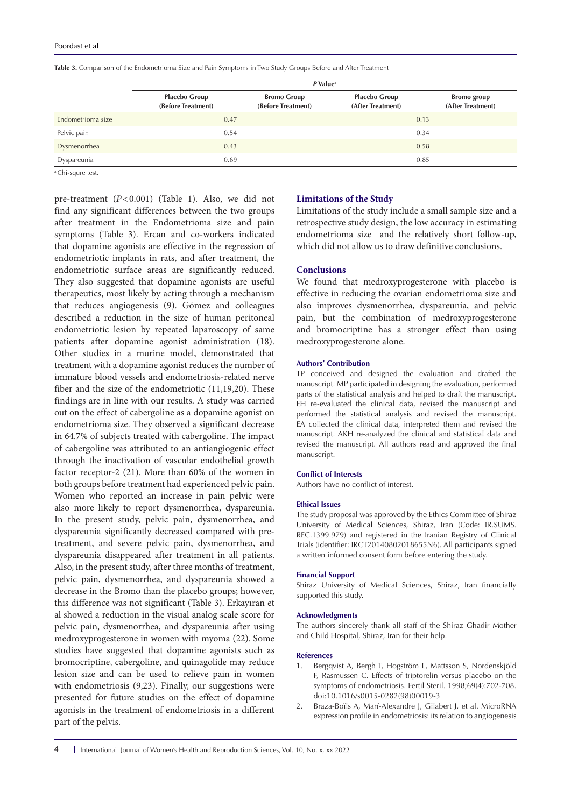|                   | $P$ Value <sup>a</sup>                     |                                          |                                           |                                         |  |
|-------------------|--------------------------------------------|------------------------------------------|-------------------------------------------|-----------------------------------------|--|
|                   | <b>Placebo Group</b><br>(Before Treatment) | <b>Bromo Group</b><br>(Before Treatment) | <b>Placebo Group</b><br>(After Treatment) | <b>Bromo</b> group<br>(After Treatment) |  |
| Endometrioma size | 0.47                                       |                                          |                                           | 0.13                                    |  |
| Pelvic pain       | 0.54                                       |                                          |                                           | 0.34                                    |  |
| Dysmenorrhea      | 0.43                                       |                                          | 0.58                                      |                                         |  |
| Dyspareunia       | 0.69                                       |                                          |                                           | 0.85                                    |  |

**Table 3.** Comparison of the Endometrioma Size and Pain Symptoms in Two Study Groups Before and After Treatment

a Chi-squre test.

pre-treatment (*P*<0.001) (Table 1). Also, we did not find any significant differences between the two groups after treatment in the Endometrioma size and pain symptoms (Table 3). Ercan and co-workers indicated that dopamine agonists are effective in the regression of endometriotic implants in rats, and after treatment, the endometriotic surface areas are significantly reduced. They also suggested that dopamine agonists are useful therapeutics, most likely by acting through a mechanism that reduces angiogenesis (9). Gómez and colleagues described a reduction in the size of human peritoneal endometriotic lesion by repeated laparoscopy of same patients after dopamine agonist administration (18). Other studies in a murine model, demonstrated that treatment with a dopamine agonist reduces the number of immature blood vessels and endometriosis-related nerve fiber and the size of the endometriotic (11,19,20). These findings are in line with our results. A study was carried out on the effect of cabergoline as a dopamine agonist on endometrioma size. They observed a significant decrease in 64.7% of subjects treated with cabergoline. The impact of cabergoline was attributed to an antiangiogenic effect through the inactivation of vascular endothelial growth factor receptor-2 (21). More than 60% of the women in both groups before treatment had experienced pelvic pain. Women who reported an increase in pain pelvic were also more likely to report dysmenorrhea, dyspareunia. In the present study, pelvic pain, dysmenorrhea, and dyspareunia significantly decreased compared with pretreatment, and severe pelvic pain, dysmenorrhea, and dyspareunia disappeared after treatment in all patients. Also, in the present study, after three months of treatment, pelvic pain, dysmenorrhea, and dyspareunia showed a decrease in the Bromo than the placebo groups; however, this difference was not significant (Table 3). Erkayıran et al showed a reduction in the visual analog scale score for pelvic pain, dysmenorrhea, and dyspareunia after using medroxyprogesterone in women with myoma (22). Some studies have suggested that dopamine agonists such as bromocriptine, cabergoline, and quinagolide may reduce lesion size and can be used to relieve pain in women with endometriosis (9,23). Finally, our suggestions were presented for future studies on the effect of dopamine agonists in the treatment of endometriosis in a different part of the pelvis.

#### **Limitations of the Study**

Limitations of the study include a small sample size and a retrospective study design, the low accuracy in estimating endometrioma size and the relatively short follow-up, which did not allow us to draw definitive conclusions.

## **Conclusions**

We found that medroxyprogesterone with placebo is effective in reducing the ovarian endometrioma size and also improves dysmenorrhea, dyspareunia, and pelvic pain, but the combination of medroxyprogesterone and bromocriptine has a stronger effect than using medroxyprogesterone alone.

#### **Authors' Contribution**

TP conceived and designed the evaluation and drafted the manuscript. MP participated in designing the evaluation, performed parts of the statistical analysis and helped to draft the manuscript. EH re-evaluated the clinical data, revised the manuscript and performed the statistical analysis and revised the manuscript. EA collected the clinical data, interpreted them and revised the manuscript. AKH re-analyzed the clinical and statistical data and revised the manuscript. All authors read and approved the final manuscript.

#### **Conflict of Interests**

Authors have no conflict of interest.

#### **Ethical Issues**

The study proposal was approved by the Ethics Committee of Shiraz University of Medical Sciences, Shiraz, Iran (Code: IR.SUMS. REC.1399.979) and registered in the Iranian Registry of Clinical Trials (identifier: IRCT20140802018655N6). All participants signed a written informed consent form before entering the study.

#### **Financial Support**

Shiraz University of Medical Sciences, Shiraz, Iran financially supported this study.

#### **Acknowledgments**

The authors sincerely thank all staff of the Shiraz Ghadir Mother and Child Hospital, Shiraz, Iran for their help.

#### **References**

- 1. Bergqvist A, Bergh T, Hogström L, Mattsson S, Nordenskjöld F, Rasmussen C. Effects of triptorelin versus placebo on the symptoms of endometriosis. Fertil Steril. 1998;69(4):702-708. doi:10.1016/s0015-0282(98)00019-3
- 2. Braza-Boïls A, Marí-Alexandre J, Gilabert J, et al. MicroRNA expression profile in endometriosis: its relation to angiogenesis